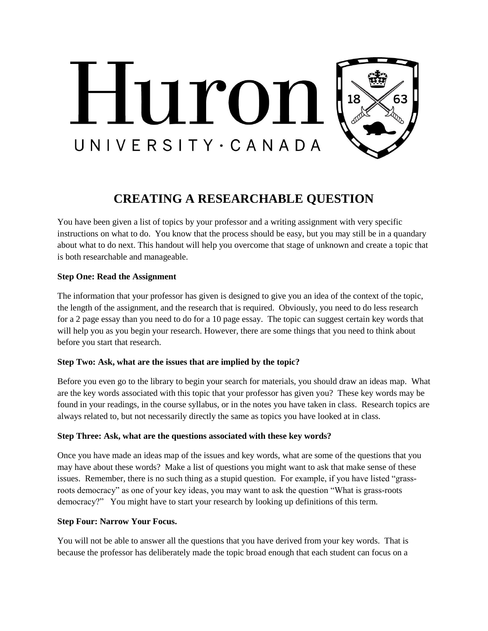

# **CREATING A RESEARCHABLE QUESTION**

You have been given a list of topics by your professor and a writing assignment with very specific instructions on what to do. You know that the process should be easy, but you may still be in a quandary about what to do next. This handout will help you overcome that stage of unknown and create a topic that is both researchable and manageable.

## **Step One: Read the Assignment**

The information that your professor has given is designed to give you an idea of the context of the topic, the length of the assignment, and the research that is required. Obviously, you need to do less research for a 2 page essay than you need to do for a 10 page essay. The topic can suggest certain key words that will help you as you begin your research. However, there are some things that you need to think about before you start that research.

# **Step Two: Ask, what are the issues that are implied by the topic?**

Before you even go to the library to begin your search for materials, you should draw an ideas map. What are the key words associated with this topic that your professor has given you? These key words may be found in your readings, in the course syllabus, or in the notes you have taken in class. Research topics are always related to, but not necessarily directly the same as topics you have looked at in class.

#### **Step Three: Ask, what are the questions associated with these key words?**

Once you have made an ideas map of the issues and key words, what are some of the questions that you may have about these words? Make a list of questions you might want to ask that make sense of these issues. Remember, there is no such thing as a stupid question. For example, if you have listed "grassroots democracy" as one of your key ideas, you may want to ask the question "What is grass-roots democracy?" You might have to start your research by looking up definitions of this term.

#### **Step Four: Narrow Your Focus.**

You will not be able to answer all the questions that you have derived from your key words. That is because the professor has deliberately made the topic broad enough that each student can focus on a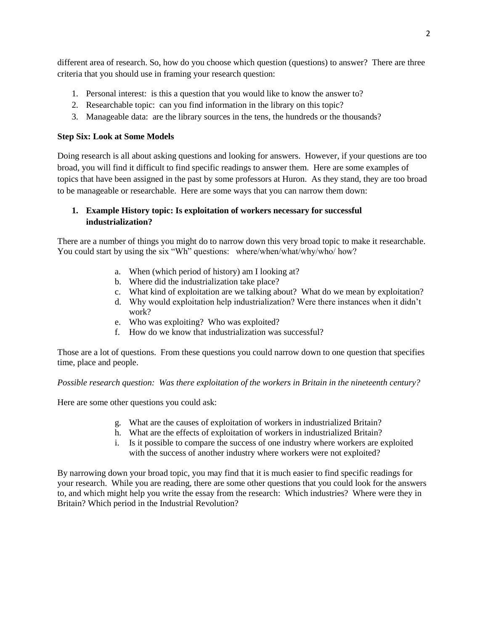different area of research. So, how do you choose which question (questions) to answer? There are three criteria that you should use in framing your research question:

- 1. Personal interest: is this a question that you would like to know the answer to?
- 2. Researchable topic: can you find information in the library on this topic?
- 3. Manageable data: are the library sources in the tens, the hundreds or the thousands?

#### **Step Six: Look at Some Models**

Doing research is all about asking questions and looking for answers. However, if your questions are too broad, you will find it difficult to find specific readings to answer them. Here are some examples of topics that have been assigned in the past by some professors at Huron. As they stand, they are too broad to be manageable or researchable. Here are some ways that you can narrow them down:

## **1. Example History topic: Is exploitation of workers necessary for successful industrialization?**

There are a number of things you might do to narrow down this very broad topic to make it researchable. You could start by using the six "Wh" questions: where/when/what/why/who/ how?

- a. When (which period of history) am I looking at?
- b. Where did the industrialization take place?
- c. What kind of exploitation are we talking about? What do we mean by exploitation?
- d. Why would exploitation help industrialization? Were there instances when it didn't work?
- e. Who was exploiting? Who was exploited?
- f. How do we know that industrialization was successful?

Those are a lot of questions. From these questions you could narrow down to one question that specifies time, place and people.

*Possible research question: Was there exploitation of the workers in Britain in the nineteenth century?* 

Here are some other questions you could ask:

- g. What are the causes of exploitation of workers in industrialized Britain?
- h. What are the effects of exploitation of workers in industrialized Britain?
- i. Is it possible to compare the success of one industry where workers are exploited with the success of another industry where workers were not exploited?

By narrowing down your broad topic, you may find that it is much easier to find specific readings for your research. While you are reading, there are some other questions that you could look for the answers to, and which might help you write the essay from the research: Which industries? Where were they in Britain? Which period in the Industrial Revolution?